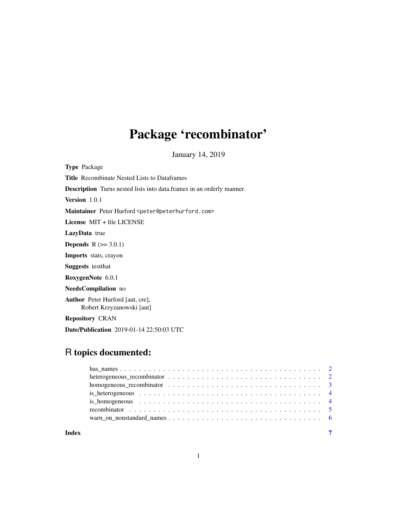# Package 'recombinator'

January 14, 2019

<span id="page-0-0"></span>Type Package Title Recombinate Nested Lists to Dataframes Description Turns nested lists into data.frames in an orderly manner. Version 1.0.1 Maintainer Peter Hurford <peter@peterhurford.com> License MIT + file LICENSE LazyData true **Depends**  $R$  ( $>= 3.0.1$ ) Imports stats, crayon Suggests testthat RoxygenNote 6.0.1 NeedsCompilation no Author Peter Hurford [aut, cre], Robert Krzyzanowski [aut] Repository CRAN

# R topics documented:

Date/Publication 2019-01-14 22:50:03 UTC

| Index | $\overline{7}$ |
|-------|----------------|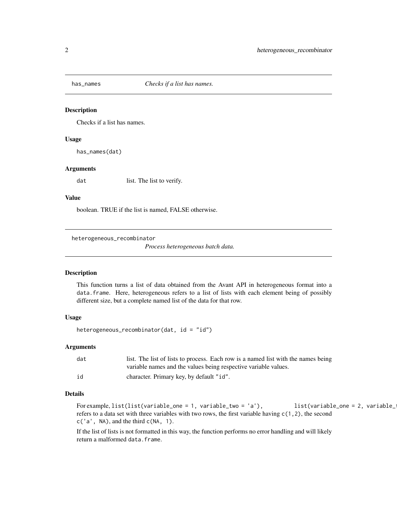<span id="page-1-0"></span>

# Description

Checks if a list has names.

#### Usage

has\_names(dat)

#### Arguments

dat list. The list to verify.

# Value

boolean. TRUE if the list is named, FALSE otherwise.

heterogeneous\_recombinator

*Process heterogeneous batch data.*

# Description

This function turns a list of data obtained from the Avant API in heterogeneous format into a data.frame. Here, heterogeneous refers to a list of lists with each element being of possibly different size, but a complete named list of the data for that row.

# Usage

```
heterogeneous_recombinator(dat, id = "id")
```
#### Arguments

| dat | list. The list of lists to process. Each row is a named list with the names being |
|-----|-----------------------------------------------------------------------------------|
|     | variable names and the values being respective variable values.                   |
| id  | character. Primary key, by default "id".                                          |

#### Details

For example, list(list(variable\_one = 1, variable\_two = 'a'), list(variable\_one = 2, variable\_ refers to a data set with three variables with two rows, the first variable having c(1,2), the second  $c('a', NA),$  and the third  $c(NA, 1)$ .

If the list of lists is not formatted in this way, the function performs no error handling and will likely return a malformed data.frame.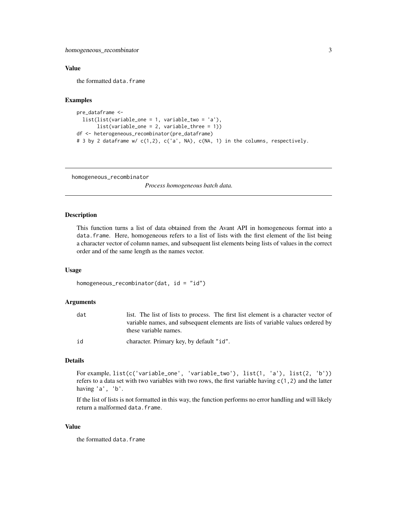<span id="page-2-0"></span>homogeneous\_recombinator 3

# Value

the formatted data.frame

# Examples

```
pre_dataframe <-
 list(list(variable_one = 1, variable_two = 'a'),
      list(variable_one = 2, variable_three = 1))
df <- heterogeneous_recombinator(pre_dataframe)
# 3 by 2 dataframe w/ c(1,2), c('a', NA), c(NA, 1) in the columns, respectively.
```
homogeneous\_recombinator

*Process homogeneous batch data.*

#### **Description**

This function turns a list of data obtained from the Avant API in homogeneous format into a data.frame. Here, homogeneous refers to a list of lists with the first element of the list being a character vector of column names, and subsequent list elements being lists of values in the correct order and of the same length as the names vector.

#### Usage

```
homogeneous_recombinator(dat, id = "id")
```
#### Arguments

| dat | list. The list of lists to process. The first list element is a character vector of |
|-----|-------------------------------------------------------------------------------------|
|     | variable names, and subsequent elements are lists of variable values ordered by     |
|     | these variable names.                                                               |
| id  | character. Primary key, by default "id".                                            |

# Details

For example, list(c('variable\_one', 'variable\_two'), list(1, 'a'), list(2, 'b')) refers to a data set with two variables with two rows, the first variable having  $c(1,2)$  and the latter having 'a', 'b'.

If the list of lists is not formatted in this way, the function performs no error handling and will likely return a malformed data.frame.

#### Value

the formatted data.frame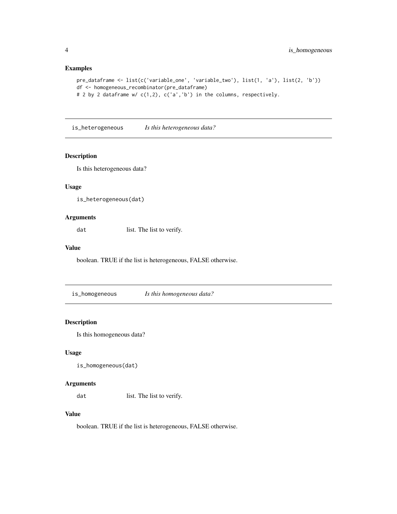# Examples

```
pre_dataframe <- list(c('variable_one', 'variable_two'), list(1, 'a'), list(2, 'b'))
df <- homogeneous_recombinator(pre_dataframe)
# 2 by 2 dataframe w/ c(1,2), c('a','b') in the columns, respectively.
```
is\_heterogeneous *Is this heterogeneous data?*

# Description

Is this heterogeneous data?

#### Usage

is\_heterogeneous(dat)

# Arguments

dat list. The list to verify.

# Value

boolean. TRUE if the list is heterogeneous, FALSE otherwise.

is\_homogeneous *Is this homogeneous data?*

# Description

Is this homogeneous data?

# Usage

```
is_homogeneous(dat)
```
#### Arguments

dat list. The list to verify.

# Value

boolean. TRUE if the list is heterogeneous, FALSE otherwise.

<span id="page-3-0"></span>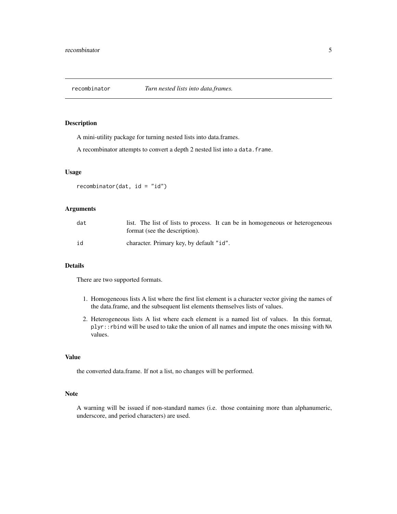<span id="page-4-0"></span>

## Description

A mini-utility package for turning nested lists into data.frames.

A recombinator attempts to convert a depth 2 nested list into a data.frame.

# Usage

 $recombination(data, id = "id")$ 

## Arguments

| dat | list. The list of lists to process. It can be in homogeneous or heterogeneous<br>format (see the description). |
|-----|----------------------------------------------------------------------------------------------------------------|
| id  | character. Primary key, by default "id".                                                                       |

#### Details

There are two supported formats.

- 1. Homogeneous lists A list where the first list element is a character vector giving the names of the data.frame, and the subsequent list elements themselves lists of values.
- 2. Heterogeneous lists A list where each element is a named list of values. In this format, plyr::rbind will be used to take the union of all names and impute the ones missing with NA values.

# Value

the converted data.frame. If not a list, no changes will be performed.

#### Note

A warning will be issued if non-standard names (i.e. those containing more than alphanumeric, underscore, and period characters) are used.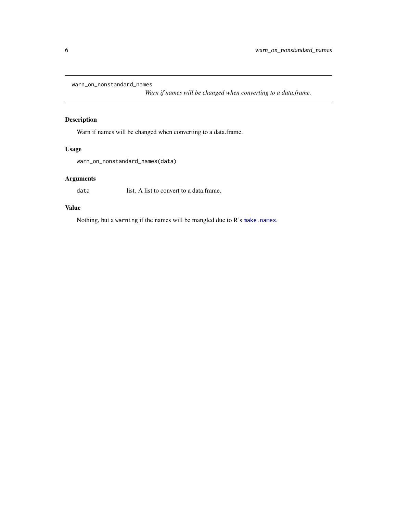<span id="page-5-0"></span>warn\_on\_nonstandard\_names

*Warn if names will be changed when converting to a data.frame.*

# Description

Warn if names will be changed when converting to a data.frame.

# Usage

warn\_on\_nonstandard\_names(data)

# Arguments

data list. A list to convert to a data.frame.

# Value

Nothing, but a warning if the names will be mangled due to R's [make.names](#page-0-0).